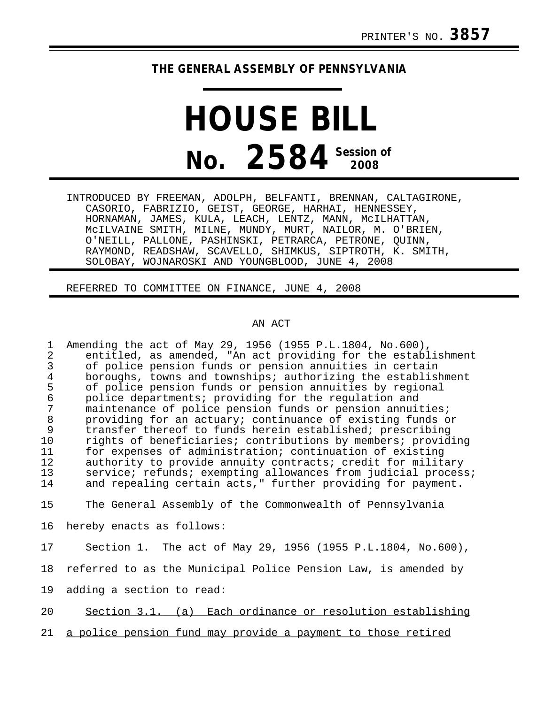## **THE GENERAL ASSEMBLY OF PENNSYLVANIA**

## **HOUSE BILL No.** 2584<sup> Session of</sup>

INTRODUCED BY FREEMAN, ADOLPH, BELFANTI, BRENNAN, CALTAGIRONE, CASORIO, FABRIZIO, GEIST, GEORGE, HARHAI, HENNESSEY, HORNAMAN, JAMES, KULA, LEACH, LENTZ, MANN, McILHATTAN, McILVAINE SMITH, MILNE, MUNDY, MURT, NAILOR, M. O'BRIEN, O'NEILL, PALLONE, PASHINSKI, PETRARCA, PETRONE, QUINN, RAYMOND, READSHAW, SCAVELLO, SHIMKUS, SIPTROTH, K. SMITH, SOLOBAY, WOJNAROSKI AND YOUNGBLOOD, JUNE 4, 2008

REFERRED TO COMMITTEE ON FINANCE, JUNE 4, 2008

## AN ACT

1 Amending the act of May 29, 1956 (1955 P.L.1804, No.600), 2 entitled, as amended, "An act providing for the establishment<br>3 of police pension funds or pension annuities in certain 3 of police pension funds or pension annuities in certain 4 boroughs, towns and townships; authorizing the establishment<br>5 of police pension funds or pension annuities by regional 5 of police pension funds or pension annuities by regional<br>6 police departments; providing for the regulation and 6 police departments; providing for the regulation and 7 maintenance of police pension funds or pension annuities;<br>8 oroviding for an actuary; continuance of existing funds o 8 providing for an actuary; continuance of existing funds or<br>9 transfer thereof to funds herein established; prescribing 9 transfer thereof to funds herein established; prescribing<br>10 rights of beneficiaries; contributions by members; provid 10 rights of beneficiaries; contributions by members; providing<br>11 for expenses of administration; continuation of existing for expenses of administration; continuation of existing 12 authority to provide annuity contracts; credit for military<br>13 service; refunds; exempting allowances from judicial process 13 service; refunds; exempting allowances from judicial process;<br>14 and repealing certain acts," further providing for payment. and repealing certain acts," further providing for payment.

15 The General Assembly of the Commonwealth of Pennsylvania

16 hereby enacts as follows:

17 Section 1. The act of May 29, 1956 (1955 P.L.1804, No.600),

18 referred to as the Municipal Police Pension Law, is amended by

19 adding a section to read:

20 Section 3.1. (a) Each ordinance or resolution establishing

21 a police pension fund may provide a payment to those retired